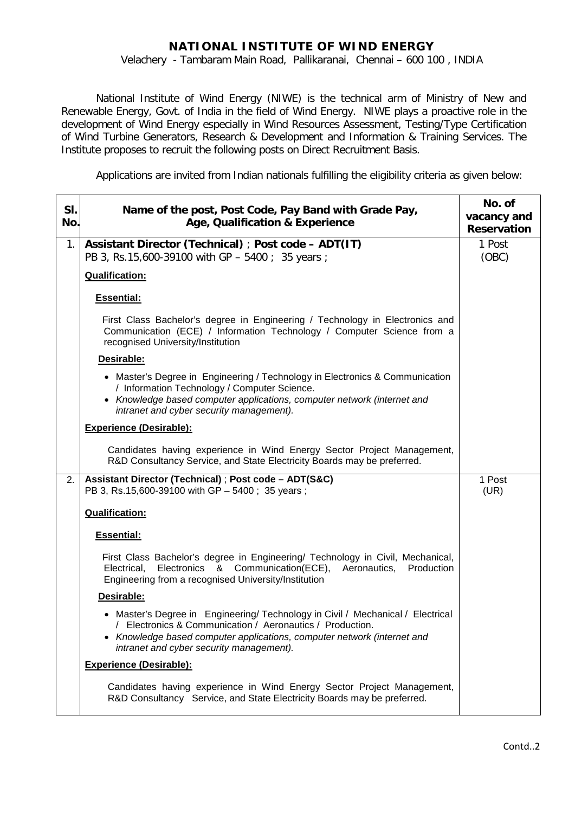# **NATIONAL INSTITUTE OF WIND ENERGY**

Velachery - Tambaram Main Road, Pallikaranai, Chennai – 600 100 , INDIA

National Institute of Wind Energy (NIWE) is the technical arm of Ministry of New and Renewable Energy, Govt. of India in the field of Wind Energy. NIWE plays a proactive role in the development of Wind Energy especially in Wind Resources Assessment, Testing/Type Certification of Wind Turbine Generators, Research & Development and Information & Training Services. The Institute proposes to recruit the following posts on Direct Recruitment Basis.

Applications are invited from Indian nationals fulfilling the eligibility criteria as given below:

| SI.<br>No.  | Name of the post, Post Code, Pay Band with Grade Pay,<br>Age, Qualification & Experience                                                                                                                                                                            | No. of<br>vacancy and<br><b>Reservation</b> |
|-------------|---------------------------------------------------------------------------------------------------------------------------------------------------------------------------------------------------------------------------------------------------------------------|---------------------------------------------|
| $1_{\cdot}$ | Assistant Director (Technical) ; Post code - ADT(IT)<br>PB 3, Rs.15,600-39100 with GP - 5400 ; 35 years ;                                                                                                                                                           | 1 Post<br>(OBC)                             |
|             | <b>Qualification:</b>                                                                                                                                                                                                                                               |                                             |
|             | <b>Essential:</b>                                                                                                                                                                                                                                                   |                                             |
|             | First Class Bachelor's degree in Engineering / Technology in Electronics and<br>Communication (ECE) / Information Technology / Computer Science from a<br>recognised University/Institution                                                                         |                                             |
|             | Desirable:                                                                                                                                                                                                                                                          |                                             |
|             | • Master's Degree in Engineering / Technology in Electronics & Communication<br>/ Information Technology / Computer Science.<br>• Knowledge based computer applications, computer network (internet and<br>intranet and cyber security management).                 |                                             |
|             | <b>Experience (Desirable):</b>                                                                                                                                                                                                                                      |                                             |
|             | Candidates having experience in Wind Energy Sector Project Management,<br>R&D Consultancy Service, and State Electricity Boards may be preferred.                                                                                                                   |                                             |
| 2.          | Assistant Director (Technical); Post code - ADT(S&C)<br>PB 3, Rs.15,600-39100 with GP - 5400; 35 years;                                                                                                                                                             | 1 Post<br>(UR)                              |
|             | <b>Qualification:</b>                                                                                                                                                                                                                                               |                                             |
|             | <b>Essential:</b>                                                                                                                                                                                                                                                   |                                             |
|             | First Class Bachelor's degree in Engineering/ Technology in Civil, Mechanical,<br>Electronics & Communication(ECE),<br>Aeronautics,<br>Production<br>Electrical.<br>Engineering from a recognised University/Institution                                            |                                             |
|             | Desirable:                                                                                                                                                                                                                                                          |                                             |
|             | • Master's Degree in Engineering/ Technology in Civil / Mechanical / Electrical<br>/ Electronics & Communication / Aeronautics / Production.<br>• Knowledge based computer applications, computer network (internet and<br>intranet and cyber security management). |                                             |
|             | <b>Experience (Desirable):</b>                                                                                                                                                                                                                                      |                                             |
|             | Candidates having experience in Wind Energy Sector Project Management,<br>R&D Consultancy Service, and State Electricity Boards may be preferred.                                                                                                                   |                                             |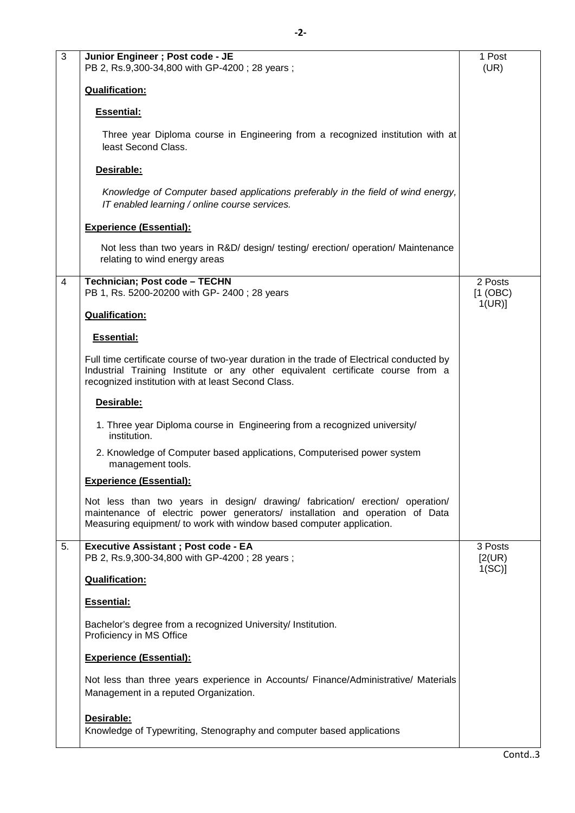| $\overline{3}$ | Junior Engineer ; Post code - JE<br>PB 2, Rs.9,300-34,800 with GP-4200; 28 years;                                                                                                                                                     | 1 Post<br>(UR)                |
|----------------|---------------------------------------------------------------------------------------------------------------------------------------------------------------------------------------------------------------------------------------|-------------------------------|
|                | <b>Qualification:</b>                                                                                                                                                                                                                 |                               |
|                | <b>Essential:</b>                                                                                                                                                                                                                     |                               |
|                | Three year Diploma course in Engineering from a recognized institution with at<br>least Second Class.                                                                                                                                 |                               |
|                | Desirable:                                                                                                                                                                                                                            |                               |
|                | Knowledge of Computer based applications preferably in the field of wind energy,<br>IT enabled learning / online course services.                                                                                                     |                               |
|                | <b>Experience (Essential):</b>                                                                                                                                                                                                        |                               |
|                | Not less than two years in R&D/ design/ testing/ erection/ operation/ Maintenance<br>relating to wind energy areas                                                                                                                    |                               |
| 4              | Technician; Post code - TECHN<br>PB 1, Rs. 5200-20200 with GP- 2400; 28 years                                                                                                                                                         | 2 Posts<br>[1 (OBC)]<br>1(UR) |
|                | <b>Qualification:</b>                                                                                                                                                                                                                 |                               |
|                | <b>Essential:</b>                                                                                                                                                                                                                     |                               |
|                | Full time certificate course of two-year duration in the trade of Electrical conducted by<br>Industrial Training Institute or any other equivalent certificate course from a<br>recognized institution with at least Second Class.    |                               |
|                | Desirable:                                                                                                                                                                                                                            |                               |
|                | 1. Three year Diploma course in Engineering from a recognized university/<br>institution.                                                                                                                                             |                               |
|                | 2. Knowledge of Computer based applications, Computerised power system<br>management tools.                                                                                                                                           |                               |
|                | <b>Experience (Essential):</b>                                                                                                                                                                                                        |                               |
|                | Not less than two years in design/ drawing/ fabrication/ erection/ operation/<br>maintenance of electric power generators/ installation and operation of Data<br>Measuring equipment/ to work with window based computer application. |                               |
| 5.             | <b>Executive Assistant; Post code - EA</b><br>PB 2, Rs.9,300-34,800 with GP-4200; 28 years;                                                                                                                                           | 3 Posts<br>[2(UR)]<br>1(SC)   |
|                | <b>Qualification:</b>                                                                                                                                                                                                                 |                               |
|                | <b>Essential:</b>                                                                                                                                                                                                                     |                               |
|                | Bachelor's degree from a recognized University/ Institution.<br>Proficiency in MS Office                                                                                                                                              |                               |
|                | <b>Experience (Essential):</b>                                                                                                                                                                                                        |                               |
|                | Not less than three years experience in Accounts/ Finance/Administrative/ Materials<br>Management in a reputed Organization.                                                                                                          |                               |
|                | Desirable:<br>Knowledge of Typewriting, Stenography and computer based applications                                                                                                                                                   |                               |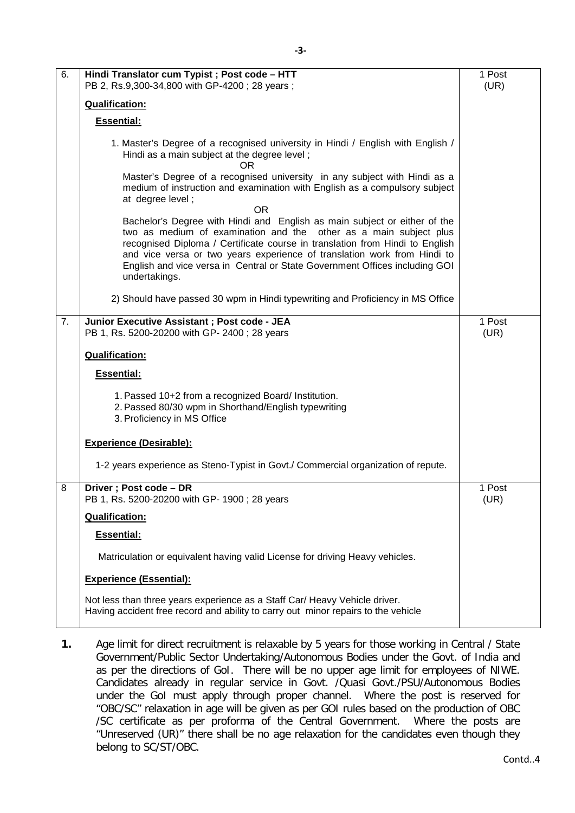| 6. | Hindi Translator cum Typist ; Post code - HTT<br>PB 2, Rs.9,300-34,800 with GP-4200; 28 years;                                                                                                                                                                                                                                                                                                             | 1 Post<br>(UR) |
|----|------------------------------------------------------------------------------------------------------------------------------------------------------------------------------------------------------------------------------------------------------------------------------------------------------------------------------------------------------------------------------------------------------------|----------------|
|    | <b>Qualification:</b>                                                                                                                                                                                                                                                                                                                                                                                      |                |
|    | <b>Essential:</b>                                                                                                                                                                                                                                                                                                                                                                                          |                |
|    | 1. Master's Degree of a recognised university in Hindi / English with English /<br>Hindi as a main subject at the degree level;<br><b>OR</b>                                                                                                                                                                                                                                                               |                |
|    | Master's Degree of a recognised university in any subject with Hindi as a<br>medium of instruction and examination with English as a compulsory subject<br>at degree level;<br>0R                                                                                                                                                                                                                          |                |
|    | Bachelor's Degree with Hindi and English as main subject or either of the<br>two as medium of examination and the other as a main subject plus<br>recognised Diploma / Certificate course in translation from Hindi to English<br>and vice versa or two years experience of translation work from Hindi to<br>English and vice versa in Central or State Government Offices including GOI<br>undertakings. |                |
|    | 2) Should have passed 30 wpm in Hindi typewriting and Proficiency in MS Office                                                                                                                                                                                                                                                                                                                             |                |
| 7. | Junior Executive Assistant ; Post code - JEA<br>PB 1, Rs. 5200-20200 with GP- 2400; 28 years                                                                                                                                                                                                                                                                                                               | 1 Post<br>(UR) |
|    | <b>Qualification:</b>                                                                                                                                                                                                                                                                                                                                                                                      |                |
|    | <b>Essential:</b>                                                                                                                                                                                                                                                                                                                                                                                          |                |
|    | 1. Passed 10+2 from a recognized Board/ Institution.<br>2. Passed 80/30 wpm in Shorthand/English typewriting<br>3. Proficiency in MS Office                                                                                                                                                                                                                                                                |                |
|    | <b>Experience (Desirable):</b>                                                                                                                                                                                                                                                                                                                                                                             |                |
|    | 1-2 years experience as Steno-Typist in Govt./ Commercial organization of repute.                                                                                                                                                                                                                                                                                                                          |                |
| 8  | Driver; Post code - DR<br>PB 1, Rs. 5200-20200 with GP- 1900; 28 years                                                                                                                                                                                                                                                                                                                                     | 1 Post<br>(UR) |
|    | <b>Qualification:</b>                                                                                                                                                                                                                                                                                                                                                                                      |                |
|    | <b>Essential:</b>                                                                                                                                                                                                                                                                                                                                                                                          |                |
|    | Matriculation or equivalent having valid License for driving Heavy vehicles.                                                                                                                                                                                                                                                                                                                               |                |
|    | <b>Experience (Essential):</b>                                                                                                                                                                                                                                                                                                                                                                             |                |
|    | Not less than three years experience as a Staff Car/ Heavy Vehicle driver.<br>Having accident free record and ability to carry out minor repairs to the vehicle                                                                                                                                                                                                                                            |                |

**1.** Age limit for direct recruitment is relaxable by 5 years for those working in Central / State Government/Public Sector Undertaking/Autonomous Bodies under the Govt. of India and as per the directions of GoI. There will be no upper age limit for employees of NIWE. Candidates already in regular service in Govt. /Quasi Govt./PSU/Autonomous Bodies under the GoI must apply through proper channel. Where the post is reserved for "OBC/SC" relaxation in age will be given as per GOI rules based on the production of OBC /SC certificate as per proforma of the Central Government. Where the posts are "Unreserved (UR)" there shall be no age relaxation for the candidates even though they belong to SC/ST/OBC.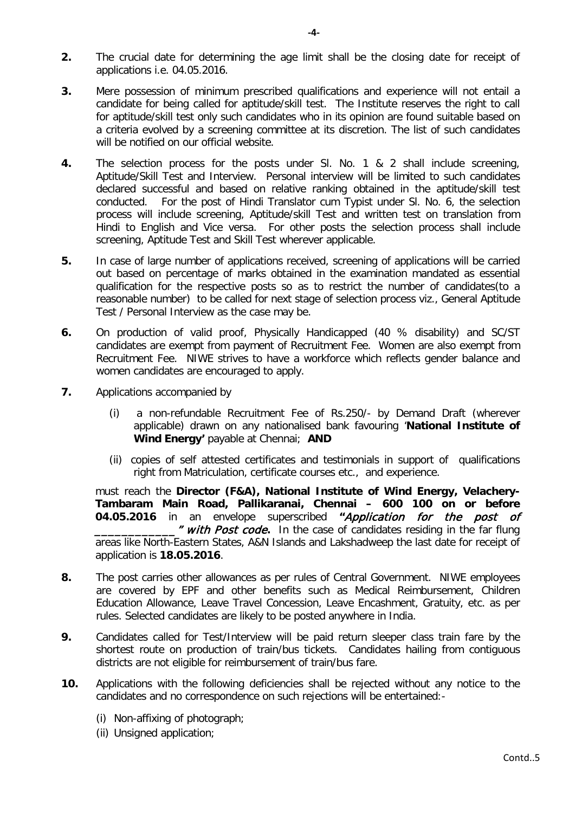- **2.** The crucial date for determining the age limit shall be the closing date for receipt of applications i.e. 04.05.2016.
- **3.** Mere possession of minimum prescribed qualifications and experience will not entail a candidate for being called for aptitude/skill test. The Institute reserves the right to call for aptitude/skill test only such candidates who in its opinion are found suitable based on a criteria evolved by a screening committee at its discretion. The list of such candidates will be notified on our official website.
- **4.** The selection process for the posts under Sl. No. 1 & 2 shall include screening, Aptitude/Skill Test and Interview. Personal interview will be limited to such candidates declared successful and based on relative ranking obtained in the aptitude/skill test conducted. For the post of Hindi Translator cum Typist under Sl. No. 6, the selection process will include screening, Aptitude/skill Test and written test on translation from Hindi to English and Vice versa. For other posts the selection process shall include screening, Aptitude Test and Skill Test wherever applicable.
- **5.** In case of large number of applications received, screening of applications will be carried out based on percentage of marks obtained in the examination mandated as essential qualification for the respective posts so as to restrict the number of candidates(to a reasonable number) to be called for next stage of selection process viz., General Aptitude Test / Personal Interview as the case may be.
- **6.** On production of valid proof, Physically Handicapped (40 % disability) and SC/ST candidates are exempt from payment of Recruitment Fee. Women are also exempt from Recruitment Fee. NIWE strives to have a workforce which reflects gender balance and women candidates are encouraged to apply.
- **7.** Applications accompanied by
	- (i) a non-refundable Recruitment Fee of Rs.250/- by Demand Draft (wherever applicable) drawn on any nationalised bank favouring '**National Institute of Wind Energy' payable at Chennai: AND**
	- (ii) copies of self attested certificates and testimonials in support of qualifications right from Matriculation, certificate courses etc., and experience.

must reach the **Director (F&A), National Institute of Wind Energy, Velachery-Tambaram Main Road, Pallikaranai, Chennai – 600 100 on or before 04.05.2016** in an envelope superscribed **"**Application for the post of \_\_\_\_\_\_\_\_\_\_\_\_" with Post code**.** In the case of candidates residing in the far flung areas like North-Eastern States, A&N Islands and Lakshadweep the last date for receipt of application is **18.05.2016**.

- **8.** The post carries other allowances as per rules of Central Government. NIWE employees are covered by EPF and other benefits such as Medical Reimbursement, Children Education Allowance, Leave Travel Concession, Leave Encashment, Gratuity, etc. as per rules. Selected candidates are likely to be posted anywhere in India.
- **9.** Candidates called for Test/Interview will be paid return sleeper class train fare by the shortest route on production of train/bus tickets. Candidates hailing from contiguous districts are not eligible for reimbursement of train/bus fare.
- **10.** Applications with the following deficiencies shall be rejected without any notice to the candidates and no correspondence on such rejections will be entertained:-
	- (i) Non-affixing of photograph;
	- (ii) Unsigned application;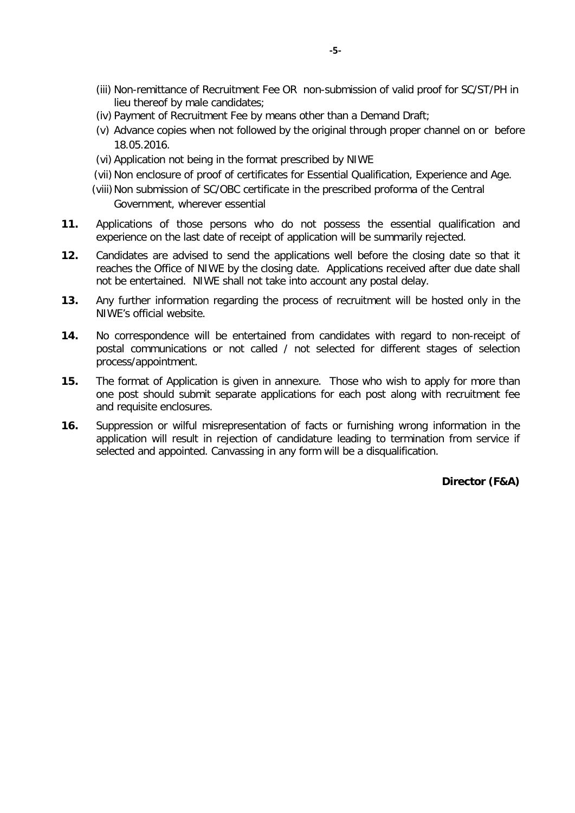- (iii) Non-remittance of Recruitment Fee OR non-submission of valid proof for SC/ST/PH in lieu thereof by male candidates;
- (iv) Payment of Recruitment Fee by means other than a Demand Draft;
- (v) Advance copies when not followed by the original through proper channel on or before 18.05.2016.
- (vi) Application not being in the format prescribed by NIWE
- (vii) Non enclosure of proof of certificates for Essential Qualification, Experience and Age.
- (viii) Non submission of SC/OBC certificate in the prescribed proforma of the Central Government, wherever essential
- **11.** Applications of those persons who do not possess the essential qualification and experience on the last date of receipt of application will be summarily rejected.
- **12.** Candidates are advised to send the applications well before the closing date so that it reaches the Office of NIWE by the closing date. Applications received after due date shall not be entertained. NIWE shall not take into account any postal delay.
- **13.** Any further information regarding the process of recruitment will be hosted only in the NIWE's official website.
- **14.** No correspondence will be entertained from candidates with regard to non-receipt of postal communications or not called / not selected for different stages of selection process/appointment.
- **15.** The format of Application is given in annexure. Those who wish to apply for more than one post should submit separate applications for each post along with recruitment fee and requisite enclosures.
- **16.** Suppression or wilful misrepresentation of facts or furnishing wrong information in the application will result in rejection of candidature leading to termination from service if selected and appointed. Canvassing in any form will be a disqualification.

 **Director (F&A)**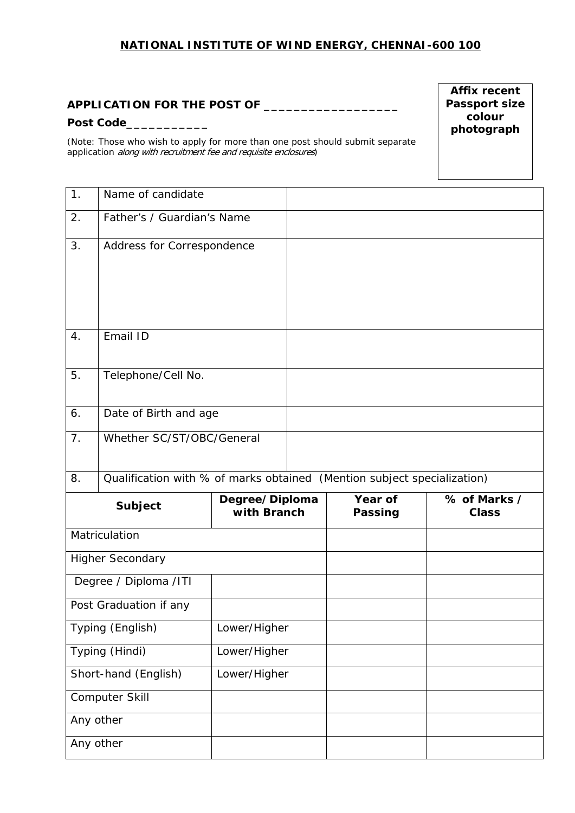### **NATIONAL INSTITUTE OF WIND ENERGY, CHENNAI-600 100**

### *APPLICATION FOR THE POST OF \_\_\_\_\_\_\_\_\_\_\_\_\_\_\_\_\_\_*

#### *Post Code\_\_\_\_\_\_\_\_\_\_\_*

*(Note: Those who wish to apply for more than one post should submit separate application* along with recruitment fee and requisite enclosures*)*

**Affix recent Passport size colour photograph**

| 1.                     | Name of candidate                                                       |                               |  |                           |                              |
|------------------------|-------------------------------------------------------------------------|-------------------------------|--|---------------------------|------------------------------|
| 2.                     | Father's / Guardian's Name                                              |                               |  |                           |                              |
| 3.                     | Address for Correspondence                                              |                               |  |                           |                              |
| 4.                     | Email ID                                                                |                               |  |                           |                              |
| 5.                     | Telephone/Cell No.                                                      |                               |  |                           |                              |
| 6.                     | Date of Birth and age                                                   |                               |  |                           |                              |
| 7.                     | Whether SC/ST/OBC/General                                               |                               |  |                           |                              |
| 8.                     | Qualification with % of marks obtained (Mention subject specialization) |                               |  |                           |                              |
|                        |                                                                         |                               |  |                           |                              |
|                        | <b>Subject</b>                                                          | Degree/Diploma<br>with Branch |  | Year of<br><b>Passing</b> | % of Marks /<br><b>Class</b> |
|                        | Matriculation                                                           |                               |  |                           |                              |
|                        | <b>Higher Secondary</b>                                                 |                               |  |                           |                              |
|                        | Degree / Diploma /ITI                                                   |                               |  |                           |                              |
|                        | Post Graduation if any                                                  |                               |  |                           |                              |
|                        | Typing (English)                                                        | Lower/Higher                  |  |                           |                              |
|                        | Typing (Hindi)                                                          | Lower/Higher                  |  |                           |                              |
|                        | Short-hand (English)                                                    | Lower/Higher                  |  |                           |                              |
|                        | Computer Skill                                                          |                               |  |                           |                              |
| Any other<br>Any other |                                                                         |                               |  |                           |                              |